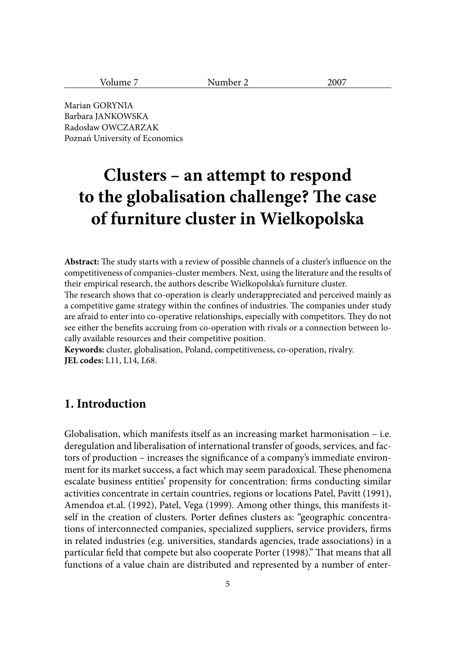| $ -$<br>м<br>$\sim$ $\sim$ $\sim$ $\sim$ |  |
|------------------------------------------|--|
|------------------------------------------|--|

Marian GORYNIA Barbara JANKOWSKA Radosław OWCZARZAK Poznań University of Economics

# **Clusters – an attempt to respond**  to the globalisation challenge? The case **of furniture cluster in Wielkopolska**

**Abstract:** The study starts with a review of possible channels of a cluster's influence on the competitiveness of companies-cluster members. Next, using the literature and the results of their empirical research, the authors describe Wielkopolska's furniture cluster.

The research shows that co-operation is clearly underappreciated and perceived mainly as a competitive game strategy within the confines of industries. The companies under study are afraid to enter into co-operative relationships, especially with competitors. They do not see either the benefits accruing from co-operation with rivals or a connection between locally available resources and their competitive position.

**Keywords:** cluster, globalisation, Poland, competitiveness, co-operation, rivalry. **JEL codes:** L11, L14, L68.

# **1. Introduction**

Globalisation, which manifests itself as an increasing market harmonisation – i.e. deregulation and liberalisation of international transfer of goods, services, and factors of production – increases the significance of a company's immediate environment for its market success, a fact which may seem paradoxical. These phenomena escalate business entities' propensity for concentration: firms conducting similar activities concentrate in certain countries, regions or locations Patel, Pavitt (1991), Amendoa et.al. (1992), Patel, Vega (1999). Among other things, this manifests itself in the creation of clusters. Porter defines clusters as: "geographic concentrations of interconnected companies, specialized suppliers, service providers, firms in related industries (e.g. universities, standards agencies, trade associations) in a particular field that compete but also cooperate Porter (1998)." That means that all functions of a value chain are distributed and represented by a number of enter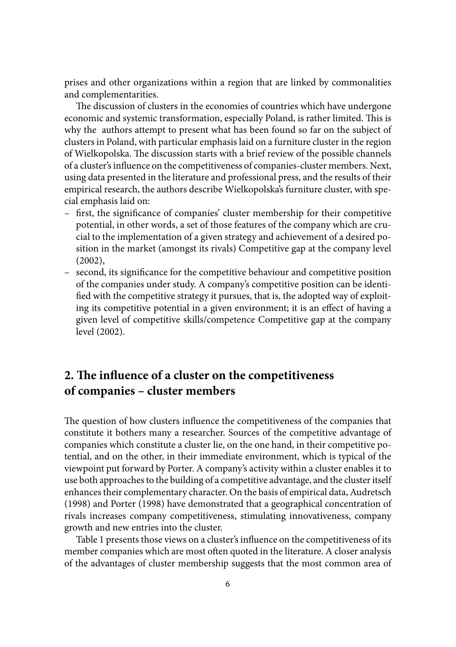prises and other organizations within a region that are linked by commonalities and complementarities.

The discussion of clusters in the economies of countries which have undergone economic and systemic transformation, especially Poland, is rather limited. This is why the authors attempt to present what has been found so far on the subject of clusters in Poland, with particular emphasis laid on a furniture cluster in the region of Wielkopolska. The discussion starts with a brief review of the possible channels of a cluster's influence on the competitiveness of companies-cluster members. Next, using data presented in the literature and professional press, and the results of their empirical research, the authors describe Wielkopolska's furniture cluster, with special emphasis laid on:

- first, the significance of companies' cluster membership for their competitive potential, in other words, a set of those features of the company which are crucial to the implementation of a given strategy and achievement of a desired position in the market (amongst its rivals) Competitive gap at the company level (2002),
- second, its significance for the competitive behaviour and competitive position of the companies under study. A company's competitive position can be identified with the competitive strategy it pursues, that is, the adopted way of exploiting its competitive potential in a given environment; it is an effect of having a given level of competitive skills/competence Competitive gap at the company level (2002).

# **2. The influence of a cluster on the competitiveness of companies – cluster members**

The question of how clusters influence the competitiveness of the companies that constitute it bothers many a researcher. Sources of the competitive advantage of companies which constitute a cluster lie, on the one hand, in their competitive potential, and on the other, in their immediate environment, which is typical of the viewpoint put forward by Porter. A company's activity within a cluster enables it to use both approaches to the building of a competitive advantage, and the cluster itself enhances their complementary character. On the basis of empirical data, Audretsch (1998) and Porter (1998) have demonstrated that a geographical concentration of rivals increases company competitiveness, stimulating innovativeness, company growth and new entries into the cluster.

Table 1 presents those views on a cluster's influence on the competitiveness of its member companies which are most often quoted in the literature. A closer analysis of the advantages of cluster membership suggests that the most common area of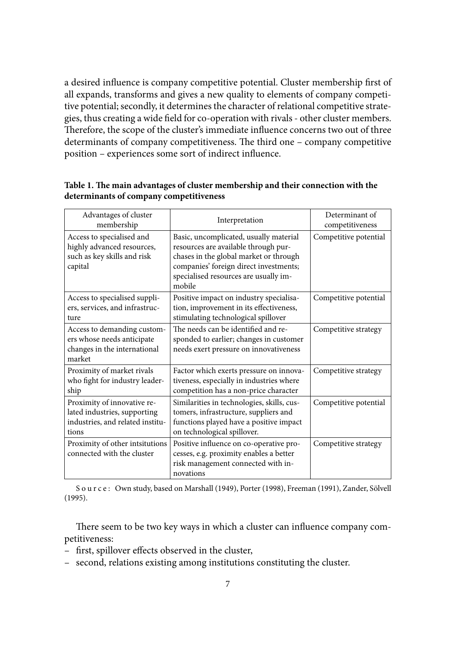a desired influence is company competitive potential. Cluster membership first of all expands, transforms and gives a new quality to elements of company competitive potential; secondly, it determines the character of relational competitive strategies, thus creating a wide field for co-operation with rivals - other cluster members. Therefore, the scope of the cluster's immediate influence concerns two out of three determinants of company competitiveness. The third one – company competitive position – experiences some sort of indirect influence.

| Advantages of cluster<br>membership                                                                      | Interpretation                                                                                                                                                                                                        | Determinant of<br>competitiveness |
|----------------------------------------------------------------------------------------------------------|-----------------------------------------------------------------------------------------------------------------------------------------------------------------------------------------------------------------------|-----------------------------------|
| Access to specialised and<br>highly advanced resources,<br>such as key skills and risk<br>capital        | Basic, uncomplicated, usually material<br>resources are available through pur-<br>chases in the global market or through<br>companies' foreign direct investments;<br>specialised resources are usually im-<br>mobile | Competitive potential             |
| Access to specialised suppli-<br>ers, services, and infrastruc-<br>ture                                  | Positive impact on industry specialisa-<br>tion, improvement in its effectiveness,<br>stimulating technological spillover                                                                                             | Competitive potential             |
| Access to demanding custom-<br>ers whose needs anticipate<br>changes in the international<br>market      | The needs can be identified and re-<br>sponded to earlier; changes in customer<br>needs exert pressure on innovativeness                                                                                              | Competitive strategy              |
| Proximity of market rivals<br>who fight for industry leader-<br>ship                                     | Factor which exerts pressure on innova-<br>tiveness, especially in industries where<br>competition has a non-price character                                                                                          | Competitive strategy              |
| Proximity of innovative re-<br>lated industries, supporting<br>industries, and related institu-<br>tions | Similarities in technologies, skills, cus-<br>tomers, infrastructure, suppliers and<br>functions played have a positive impact<br>on technological spillover.                                                         | Competitive potential             |
| Proximity of other intsitutions<br>connected with the cluster                                            | Positive influence on co-operative pro-<br>cesses, e.g. proximity enables a better<br>risk management connected with in-<br>novations                                                                                 | Competitive strategy              |

## Table 1. The main advantages of cluster membership and their connection with the **determinants of company competitiveness**

S o u r c e : Own study, based on Marshall (1949), Porter (1998), Freeman (1991), Zander, Sölvell (1995).

There seem to be two key ways in which a cluster can influence company competitiveness:

- first, spillover effects observed in the cluster,
- second, relations existing among institutions constituting the cluster.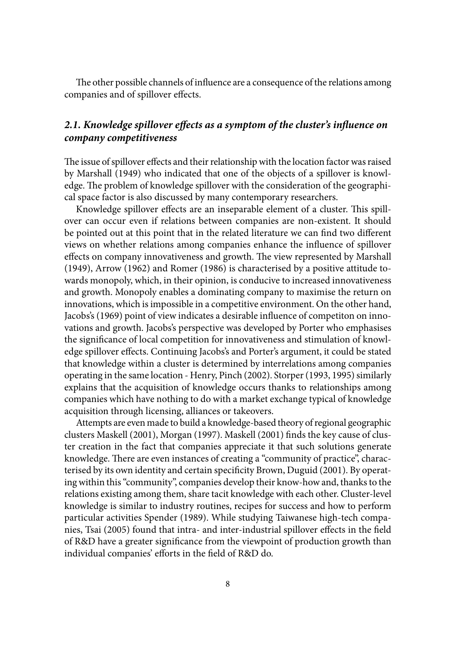The other possible channels of influence are a consequence of the relations among companies and of spillover effects.

# 2.1. Knowledge spillover effects as a symptom of the cluster's influence on *company competitiveness*

The issue of spillover effects and their relationship with the location factor was raised by Marshall (1949) who indicated that one of the objects of a spillover is knowledge. The problem of knowledge spillover with the consideration of the geographical space factor is also discussed by many contemporary researchers.

Knowledge spillover effects are an inseparable element of a cluster. This spillover can occur even if relations between companies are non-existent. It should be pointed out at this point that in the related literature we can find two different views on whether relations among companies enhance the influence of spillover effects on company innovativeness and growth. The view represented by Marshall (1949), Arrow (1962) and Romer (1986) is characterised by a positive attitude towards monopoly, which, in their opinion, is conducive to increased innovativeness and growth. Monopoly enables a dominating company to maximise the return on innovations, which is impossible in a competitive environment. On the other hand, Jacobs's (1969) point of view indicates a desirable influence of competiton on innovations and growth. Jacobs's perspective was developed by Porter who emphasises the significance of local competition for innovativeness and stimulation of knowledge spillover effects. Continuing Jacobs's and Porter's argument, it could be stated that knowledge within a cluster is determined by interrelations among companies operating in the same location - Henry, Pinch (2002). Storper (1993, 1995) similarly explains that the acquisition of knowledge occurs thanks to relationships among companies which have nothing to do with a market exchange typical of knowledge acquisition through licensing, alliances or takeovers.

Attempts are even made to build a knowledge-based theory of regional geographic clusters Maskell (2001), Morgan (1997). Maskell (2001) finds the key cause of cluster creation in the fact that companies appreciate it that such solutions generate knowledge. There are even instances of creating a "community of practice", characterised by its own identity and certain specificity Brown, Duguid (2001). By operating within this "community", companies develop their know-how and, thanks to the relations existing among them, share tacit knowledge with each other. Cluster-level knowledge is similar to industry routines, recipes for success and how to perform particular activities Spender (1989). While studying Taiwanese high-tech companies, Tsai (2005) found that intra- and inter-industrial spillover effects in the field of R&D have a greater significance from the viewpoint of production growth than individual companies' efforts in the field of R&D do.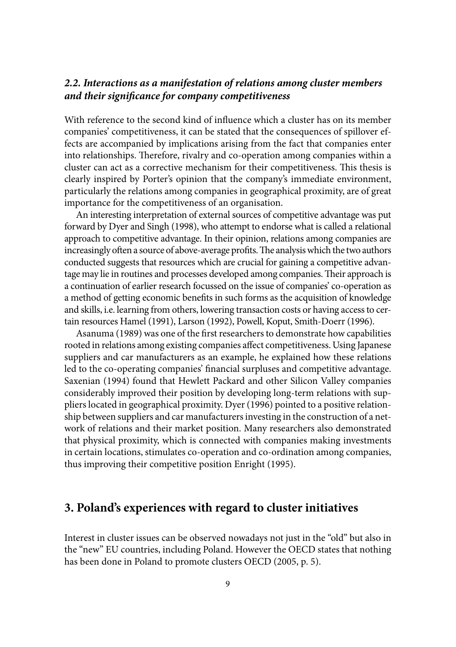# *2.2. Interactions as a manifestation of relations among cluster members and their signifi cance for company competitiveness*

With reference to the second kind of influence which a cluster has on its member companies' competitiveness, it can be stated that the consequences of spillover effects are accompanied by implications arising from the fact that companies enter into relationships. Therefore, rivalry and co-operation among companies within a cluster can act as a corrective mechanism for their competitiveness. This thesis is clearly inspired by Porter's opinion that the company's immediate environment, particularly the relations among companies in geographical proximity, are of great importance for the competitiveness of an organisation.

An interesting interpretation of external sources of competitive advantage was put forward by Dyer and Singh (1998), who attempt to endorse what is called a relational approach to competitive advantage. In their opinion, relations among companies are increasingly often a source of above-average profits. The analysis which the two authors conducted suggests that resources which are crucial for gaining a competitive advantage may lie in routines and processes developed among companies. Their approach is a continuation of earlier research focussed on the issue of companies' co-operation as a method of getting economic benefits in such forms as the acquisition of knowledge and skills, i.e. learning from others, lowering transaction costs or having access to certain resources Hamel (1991), Larson (1992), Powell, Koput, Smith-Doerr (1996).

Asanuma (1989) was one of the first researchers to demonstrate how capabilities rooted in relations among existing companies affect competitiveness. Using Japanese suppliers and car manufacturers as an example, he explained how these relations led to the co-operating companies' financial surpluses and competitive advantage. Saxenian (1994) found that Hewlett Packard and other Silicon Valley companies considerably improved their position by developing long-term relations with suppliers located in geographical proximity. Dyer (1996) pointed to a positive relationship between suppliers and car manufacturers investing in the construction of a network of relations and their market position. Many researchers also demonstrated that physical proximity, which is connected with companies making investments in certain locations, stimulates co-operation and co-ordination among companies, thus improving their competitive position Enright (1995).

# **3. Poland's experiences with regard to cluster initiatives**

Interest in cluster issues can be observed nowadays not just in the "old" but also in the "new" EU countries, including Poland. However the OECD states that nothing has been done in Poland to promote clusters OECD (2005, p. 5).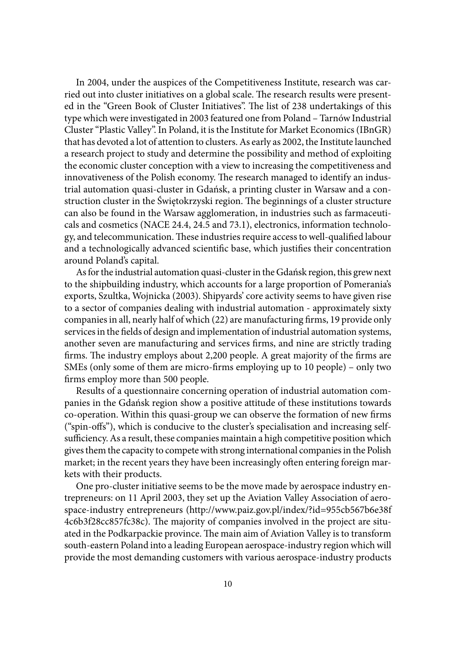In 2004, under the auspices of the Competitiveness Institute, research was carried out into cluster initiatives on a global scale. The research results were presented in the "Green Book of Cluster Initiatives". The list of 238 undertakings of this type which were investigated in 2003 featured one from Poland – Tarnów Industrial Cluster "Plastic Valley". In Poland, it is the Institute for Market Economics (IBnGR) that has devoted a lot of attention to clusters. As early as 2002, the Institute launched a research project to study and determine the possibility and method of exploiting the economic cluster conception with a view to increasing the competitiveness and innovativeness of the Polish economy. The research managed to identify an industrial automation quasi-cluster in Gdańsk, a printing cluster in Warsaw and a construction cluster in the Świętokrzyski region. The beginnings of a cluster structure can also be found in the Warsaw agglomeration, in industries such as farmaceuticals and cosmetics (NACE 24.4, 24.5 and 73.1), electronics, information technology, and telecommunication. These industries require access to well-qualified labour and a technologically advanced scientific base, which justifies their concentration around Poland's capital.

As for the industrial automation quasi-cluster in the Gdańsk region, this grew next to the shipbuilding industry, which accounts for a large proportion of Pomerania's exports, Szultka, Wojnicka (2003). Shipyards' core activity seems to have given rise to a sector of companies dealing with industrial automation - approximately sixty companies in all, nearly half of which (22) are manufacturing firms, 19 provide only services in the fields of design and implementation of industrial automation systems, another seven are manufacturing and services firms, and nine are strictly trading firms. The industry employs about 2,200 people. A great majority of the firms are SMEs (only some of them are micro-firms employing up to 10 people) – only two firms employ more than 500 people.

Results of a questionnaire concerning operation of industrial automation companies in the Gdańsk region show a positive attitude of these institutions towards co-operation. Within this quasi-group we can observe the formation of new firms ("spin-offs"), which is conducive to the cluster's specialisation and increasing selfsufficiency. As a result, these companies maintain a high competitive position which gives them the capacity to compete with strong international companies in the Polish market; in the recent years they have been increasingly often entering foreign markets with their products.

One pro-cluster initiative seems to be the move made by aerospace industry entrepreneurs: on 11 April 2003, they set up the Aviation Valley Association of aerospace-industry entrepreneurs (http://www.paiz.gov.pl/index/?id=955cb567b6e38f 4c6b3f28cc857fc38c). The majority of companies involved in the project are situated in the Podkarpackie province. The main aim of Aviation Valley is to transform south-eastern Poland into a leading European aerospace-industry region which will provide the most demanding customers with various aerospace-industry products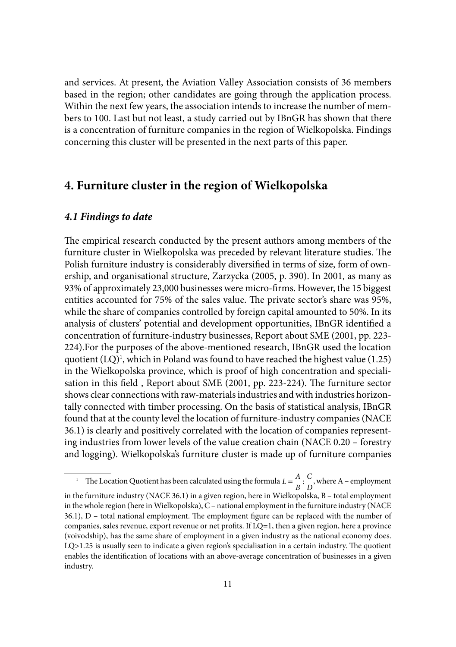and services. At present, the Aviation Valley Association consists of 36 members based in the region; other candidates are going through the application process. Within the next few years, the association intends to increase the number of members to 100. Last but not least, a study carried out by IBnGR has shown that there is a concentration of furniture companies in the region of Wielkopolska. Findings concerning this cluster will be presented in the next parts of this paper.

# **4. Furniture cluster in the region of Wielkopolska**

## *4.1 Findings to date*

The empirical research conducted by the present authors among members of the furniture cluster in Wielkopolska was preceded by relevant literature studies. The Polish furniture industry is considerably diversified in terms of size, form of ownership, and organisational structure, Zarzycka (2005, p. 390). In 2001, as many as 93% of approximately 23,000 businesses were micro-firms. However, the 15 biggest entities accounted for 75% of the sales value. The private sector's share was 95%, while the share of companies controlled by foreign capital amounted to 50%. In its analysis of clusters' potential and development opportunities, IBnGR identified a concentration of furniture-industry businesses, Report about SME (2001, pp. 223- 224).For the purposes of the above-mentioned research, IBnGR used the location quotient  $(LQ)^1$ , which in Poland was found to have reached the highest value (1.25) in the Wielkopolska province, which is proof of high concentration and specialisation in this field, Report about SME (2001, pp. 223-224). The furniture sector shows clear connections with raw-materials industries and with industries horizontally connected with timber processing. On the basis of statistical analysis, IBnGR found that at the county level the location of furniture-industry companies (NACE 36.1) is clearly and positively correlated with the location of companies representing industries from lower levels of the value creation chain (NACE 0.20 – forestry and logging). Wielkopolska's furniture cluster is made up of furniture companies

<sup>&</sup>lt;sup>1</sup> The Location Quotient has been calculated using the formula  $L = \frac{A}{B}$  $=\frac{A}{B}$ :  $\frac{C}{D}$ , where A – employment in the furniture industry (NACE 36.1) in a given region, here in Wielkopolska, B – total employment in the whole region (here in Wielkopolska), C – national employment in the furniture industry (NACE  $36.1$ ), D – total national employment. The employment figure can be replaced with the number of companies, sales revenue, export revenue or net profits. If  $LQ=1$ , then a given region, here a province (voivodship), has the same share of employment in a given industry as the national economy does.  $LQ>1.25$  is usually seen to indicate a given region's specialisation in a certain industry. The quotient enables the identification of locations with an above-average concentration of businesses in a given industry.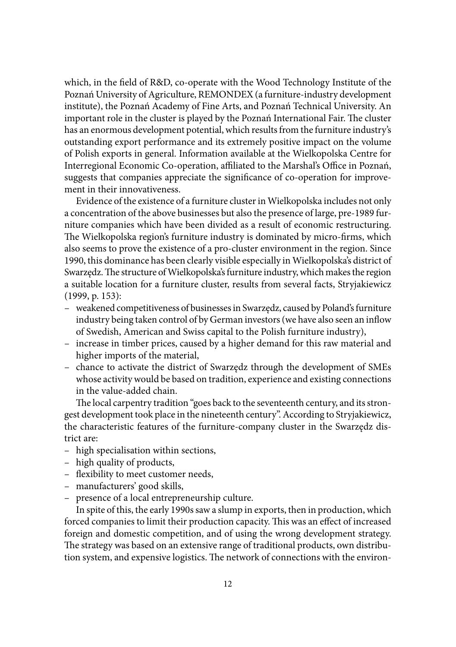which, in the field of R&D, co-operate with the Wood Technology Institute of the Poznań University of Agriculture, REMONDEX (a furniture-industry development institute), the Poznań Academy of Fine Arts, and Poznań Technical University. An important role in the cluster is played by the Poznań International Fair. The cluster has an enormous development potential, which results from the furniture industry's outstanding export performance and its extremely positive impact on the volume of Polish exports in general. Information available at the Wielkopolska Centre for Interregional Economic Co-operation, affiliated to the Marshal's Office in Poznań, suggests that companies appreciate the significance of co-operation for improvement in their innovativeness.

Evidence of the existence of a furniture cluster in Wielkopolska includes not only a concentration of the above businesses but also the presence of large, pre-1989 furniture companies which have been divided as a result of economic restructuring. The Wielkopolska region's furniture industry is dominated by micro-firms, which also seems to prove the existence of a pro-cluster environment in the region. Since 1990, this dominance has been clearly visible especially in Wielkopolska's district of Swarzędz. The structure of Wielkopolska's furniture industry, which makes the region a suitable location for a furniture cluster, results from several facts, Stryjakiewicz (1999, p. 153):

- weakened competitiveness of businesses in Swarzędz, caused by Poland's furniture industry being taken control of by German investors (we have also seen an inflow of Swedish, American and Swiss capital to the Polish furniture industry),
- increase in timber prices, caused by a higher demand for this raw material and higher imports of the material,
- chance to activate the district of Swarzędz through the development of SMEs whose activity would be based on tradition, experience and existing connections in the value-added chain.

The local carpentry tradition "goes back to the seventeenth century, and its strongest development took place in the nineteenth century". According to Stryjakiewicz, the characteristic features of the furniture-company cluster in the Swarzędz district are:

- high specialisation within sections,
- high quality of products,
- flexibility to meet customer needs,
- manufacturers' good skills,
- presence of a local entrepreneurship culture.

In spite of this, the early 1990s saw a slump in exports, then in production, which forced companies to limit their production capacity. This was an effect of increased foreign and domestic competition, and of using the wrong development strategy. The strategy was based on an extensive range of traditional products, own distribution system, and expensive logistics. The network of connections with the environ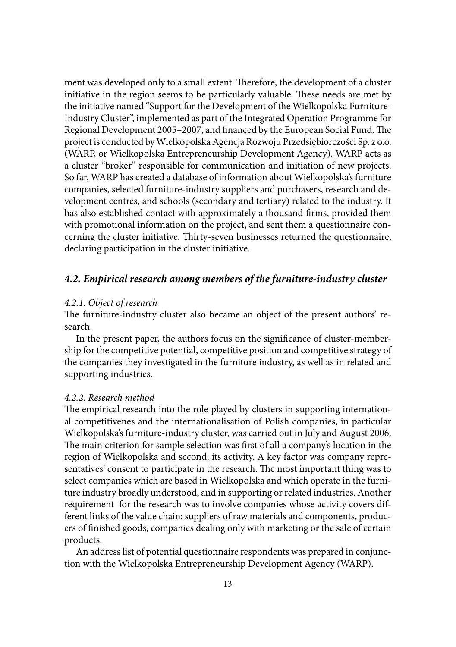ment was developed only to a small extent. Therefore, the development of a cluster initiative in the region seems to be particularly valuable. These needs are met by the initiative named "Support for the Development of the Wielkopolska Furniture-Industry Cluster", implemented as part of the Integrated Operation Programme for Regional Development 2005–2007, and financed by the European Social Fund. The project is conducted by Wielkopolska Agencja Rozwoju Przedsiębiorczości Sp. z o.o. (WARP, or Wielkopolska Entrepreneurship Development Agency). WARP acts as a cluster "broker" responsible for communication and initiation of new projects. So far, WARP has created a database of information about Wielkopolska's furniture companies, selected furniture-industry suppliers and purchasers, research and development centres, and schools (secondary and tertiary) related to the industry. It has also established contact with approximately a thousand firms, provided them with promotional information on the project, and sent them a questionnaire concerning the cluster initiative. Thirty-seven businesses returned the questionnaire, declaring participation in the cluster initiative.

## *4.2. Empirical research among members of the furniture-industry cluster*

## *4.2.1. Object of research*

The furniture-industry cluster also became an object of the present authors' research.

In the present paper, the authors focus on the significance of cluster-membership for the competitive potential, competitive position and competitive strategy of the companies they investigated in the furniture industry, as well as in related and supporting industries.

## *4.2.2. Research method*

The empirical research into the role played by clusters in supporting international competitivenes and the internationalisation of Polish companies, in particular Wielkopolska's furniture-industry cluster, was carried out in July and August 2006. The main criterion for sample selection was first of all a company's location in the region of Wielkopolska and second, its activity. A key factor was company representatives' consent to participate in the research. The most important thing was to select companies which are based in Wielkopolska and which operate in the furniture industry broadly understood, and in supporting or related industries. Another requirement for the research was to involve companies whose activity covers different links of the value chain: suppliers of raw materials and components, producers of finished goods, companies dealing only with marketing or the sale of certain products.

An address list of potential questionnaire respondents was prepared in conjunction with the Wielkopolska Entrepreneurship Development Agency (WARP).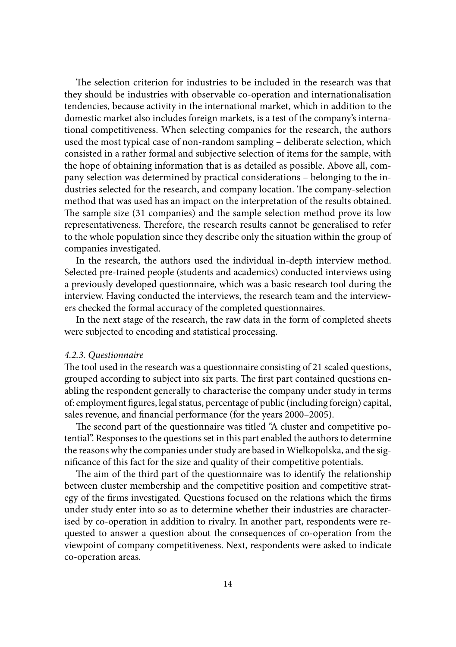The selection criterion for industries to be included in the research was that they should be industries with observable co-operation and internationalisation tendencies, because activity in the international market, which in addition to the domestic market also includes foreign markets, is a test of the company's international competitiveness. When selecting companies for the research, the authors used the most typical case of non-random sampling – deliberate selection, which consisted in a rather formal and subjective selection of items for the sample, with the hope of obtaining information that is as detailed as possible. Above all, company selection was determined by practical considerations – belonging to the industries selected for the research, and company location. The company-selection method that was used has an impact on the interpretation of the results obtained. The sample size (31 companies) and the sample selection method prove its low representativeness. Therefore, the research results cannot be generalised to refer to the whole population since they describe only the situation within the group of companies investigated.

In the research, the authors used the individual in-depth interview method. Selected pre-trained people (students and academics) conducted interviews using a previously developed questionnaire, which was a basic research tool during the interview. Having conducted the interviews, the research team and the interviewers checked the formal accuracy of the completed questionnaires.

In the next stage of the research, the raw data in the form of completed sheets were subjected to encoding and statistical processing.

#### *4.2.3. Questionnaire*

The tool used in the research was a questionnaire consisting of 21 scaled questions, grouped according to subject into six parts. The first part contained questions enabling the respondent generally to characterise the company under study in terms of: employment figures, legal status, percentage of public (including foreign) capital, sales revenue, and financial performance (for the years 2000–2005).

The second part of the questionnaire was titled "A cluster and competitive potential". Responses to the questions set in this part enabled the authors to determine the reasons why the companies under study are based in Wielkopolska, and the significance of this fact for the size and quality of their competitive potentials.

The aim of the third part of the questionnaire was to identify the relationship between cluster membership and the competitive position and competitive strategy of the firms investigated. Questions focused on the relations which the firms under study enter into so as to determine whether their industries are characterised by co-operation in addition to rivalry. In another part, respondents were requested to answer a question about the consequences of co-operation from the viewpoint of company competitiveness. Next, respondents were asked to indicate co-operation areas.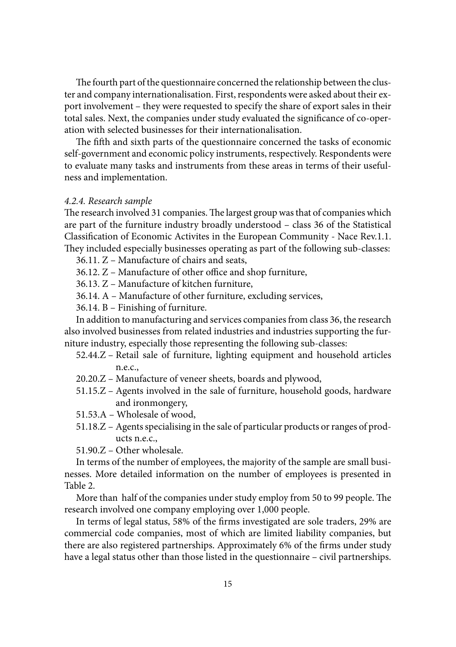The fourth part of the questionnaire concerned the relationship between the cluster and company internationalisation. First, respondents were asked about their export involvement – they were requested to specify the share of export sales in their total sales. Next, the companies under study evaluated the significance of co-operation with selected businesses for their internationalisation.

The fifth and sixth parts of the questionnaire concerned the tasks of economic self-government and economic policy instruments, respectively. Respondents were to evaluate many tasks and instruments from these areas in terms of their usefulness and implementation.

## *4.2.4. Research sample*

The research involved 31 companies. The largest group was that of companies which are part of the furniture industry broadly understood – class 36 of the Statistical Classification of Economic Activites in the European Community - Nace Rev.1.1. They included especially businesses operating as part of the following sub-classes:

36.11. Z – Manufacture of chairs and seats,

 $36.12$ .  $Z$  – Manufacture of other office and shop furniture,

36.13. Z – Manufacture of kitchen furniture,

36.14. A – Manufacture of other furniture, excluding services,

36.14. B – Finishing of furniture.

In addition to manufacturing and services companies from class 36, the research also involved businesses from related industries and industries supporting the furniture industry, especially those representing the following sub-classes:

- 52.44.Z Retail sale of furniture, lighting equipment and household articles n.e.c.,
- 20.20.Z Manufacture of veneer sheets, boards and plywood,
- 51.15.Z Agents involved in the sale of furniture, household goods, hardware and ironmongery,
- 51.53.A Wholesale of wood,
- 51.18.Z Agents specialising in the sale of particular products or ranges of products n.e.c.,

51.90.Z – Other wholesale.

In terms of the number of employees, the majority of the sample are small businesses. More detailed information on the number of employees is presented in Table 2.

More than half of the companies under study employ from 50 to 99 people. The research involved one company employing over 1,000 people.

In terms of legal status, 58% of the firms investigated are sole traders, 29% are commercial code companies, most of which are limited liability companies, but there are also registered partnerships. Approximately 6% of the firms under study have a legal status other than those listed in the questionnaire – civil partnerships.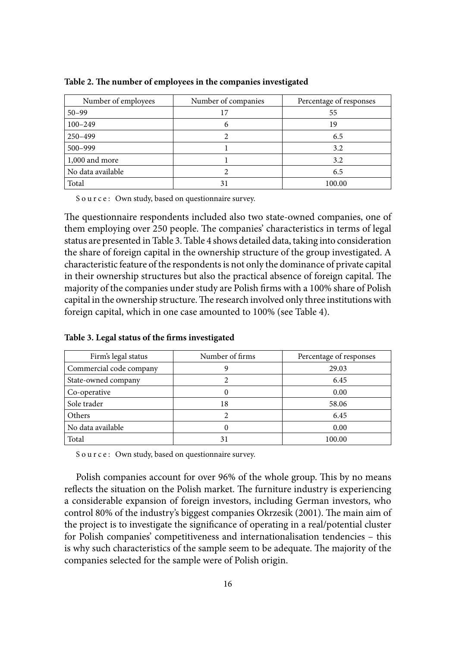| Number of employees | Number of companies | Percentage of responses |
|---------------------|---------------------|-------------------------|
| $50 - 99$           | 17                  | 55                      |
| $100 - 249$         |                     | 19                      |
| 250-499             |                     | 6.5                     |
| 500-999             |                     | 3.2                     |
| 1,000 and more      |                     | 3.2                     |
| No data available   |                     | 6.5                     |
| Total               | 31                  | 100.00                  |

Table 2. The number of employees in the companies investigated

The questionnaire respondents included also two state-owned companies, one of them employing over 250 people. The companies' characteristics in terms of legal status are presented in Table 3. Table 4 shows detailed data, taking into consideration the share of foreign capital in the ownership structure of the group investigated. A characteristic feature of the respondents is not only the dominance of private capital in their ownership structures but also the practical absence of foreign capital. The majority of the companies under study are Polish firms with a 100% share of Polish capital in the ownership structure. The research involved only three institutions with foreign capital, which in one case amounted to 100% (see Table 4).

| Firm's legal status     | Number of firms | Percentage of responses |
|-------------------------|-----------------|-------------------------|
| Commercial code company |                 | 29.03                   |
| State-owned company     |                 | 6.45                    |
| Co-operative            |                 | 0.00                    |
| Sole trader             | 18              | 58.06                   |
| Others                  |                 | 6.45                    |
| No data available       |                 | 0.00                    |
| Total                   | 31              | 100.00                  |

Table 3. Legal status of the firms investigated

S o u r c e : Own study, based on questionnaire survey.

Polish companies account for over 96% of the whole group. This by no means reflects the situation on the Polish market. The furniture industry is experiencing a considerable expansion of foreign investors, including German investors, who control 80% of the industry's biggest companies Okrzesik (2001). The main aim of the project is to investigate the significance of operating in a real/potential cluster for Polish companies' competitiveness and internationalisation tendencies – this is why such characteristics of the sample seem to be adequate. The majority of the companies selected for the sample were of Polish origin.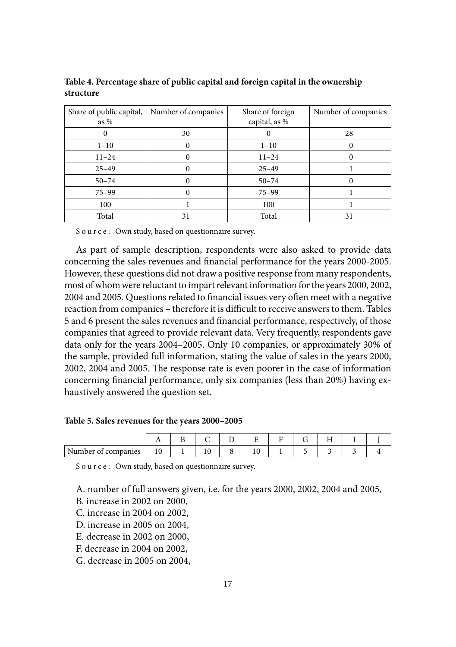| Share of public capital,<br>as $%$ | Number of companies | Share of foreign<br>capital, as % | Number of companies |
|------------------------------------|---------------------|-----------------------------------|---------------------|
|                                    | 30                  |                                   | 28                  |
| $1 - 10$                           | $\theta$            | $1 - 10$                          |                     |
| $11 - 24$                          | 0                   | $11 - 24$                         |                     |
| $25 - 49$                          |                     | $25 - 49$                         |                     |
| $50 - 74$                          |                     | $50 - 74$                         |                     |
| $75 - 99$                          | 0                   | $75 - 99$                         |                     |
| 100                                |                     | 100                               |                     |
| Total                              | 31                  | Total                             | 31                  |

**Table 4. Percentage share of public capital and foreign capital in the ownership structure**

As part of sample description, respondents were also asked to provide data concerning the sales revenues and financial performance for the years 2000-2005. However, these questions did not draw a positive response from many respondents, most of whom were reluctant to impart relevant information for the years 2000, 2002, 2004 and 2005. Questions related to financial issues very often meet with a negative reaction from companies – therefore it is difficult to receive answers to them. Tables 5 and 6 present the sales revenues and financial performance, respectively, of those companies that agreed to provide relevant data. Very frequently, respondents gave data only for the years 2004–2005. Only 10 companies, or approximately 30% of the sample, provided full information, stating the value of sales in the years 2000, 2002, 2004 and 2005. The response rate is even poorer in the case of information concerning financial performance, only six companies (less than 20%) having exhaustively answered the question set.

#### **Table 5. Sales revenues for the years 2000–2005**

| Number of<br>companies | 1 V | ∸ | $\sim$<br>⊥ ∪ |  |  |  |
|------------------------|-----|---|---------------|--|--|--|

S o u r c e : Own study, based on questionnaire survey.

A. number of full answers given, i.e. for the years 2000, 2002, 2004 and 2005,

B. increase in 2002 on 2000,

C. increase in 2004 on 2002,

D. increase in 2005 on 2004,

E. decrease in 2002 on 2000,

F. decrease in 2004 on 2002,

G. decrease in 2005 on 2004,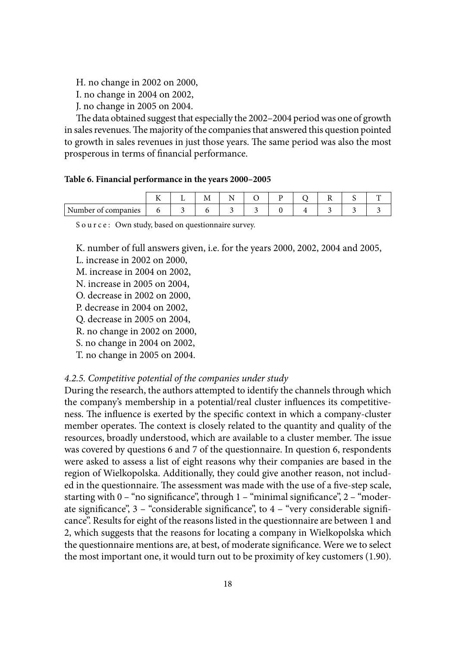H. no change in 2002 on 2000,

I. no change in 2004 on 2002,

J. no change in 2005 on 2004.

The data obtained suggest that especially the 2002–2004 period was one of growth in sales revenues. The majority of the companies that answered this question pointed to growth in sales revenues in just those years. The same period was also the most prosperous in terms of financial performance.

### **Table 6. Financial performance in the years 2000–2005**

|                           | --<br><br>-- | 1V.<br>$-$ |  |  |  |  |
|---------------------------|--------------|------------|--|--|--|--|
| Number<br>companies<br>vι |              |            |  |  |  |  |

Source: Own study, based on questionnaire survey.

K. number of full answers given, i.e. for the years 2000, 2002, 2004 and 2005,

L. increase in 2002 on 2000,

M. increase in 2004 on 2002,

N. increase in 2005 on 2004,

O. decrease in 2002 on 2000,

P. decrease in 2004 on 2002,

Q. decrease in 2005 on 2004,

R. no change in 2002 on 2000,

S. no change in 2004 on 2002,

T. no change in 2005 on 2004.

## *4.2.5. Competitive potential of the companies under study*

During the research, the authors attempted to identify the channels through which the company's membership in a potential/real cluster influences its competitiveness. The influence is exerted by the specific context in which a company-cluster member operates. The context is closely related to the quantity and quality of the resources, broadly understood, which are available to a cluster member. The issue was covered by questions 6 and 7 of the questionnaire. In question 6, respondents were asked to assess a list of eight reasons why their companies are based in the region of Wielkopolska. Additionally, they could give another reason, not included in the questionnaire. The assessment was made with the use of a five-step scale, starting with  $0 -$  "no significance", through  $1 -$  "minimal significance",  $2 -$  "moderate significance",  $3 -$  "considerable significance", to  $4 -$  "very considerable significance". Results for eight of the reasons listed in the questionnaire are between 1 and 2, which suggests that the reasons for locating a company in Wielkopolska which the questionnaire mentions are, at best, of moderate significance. Were we to select the most important one, it would turn out to be proximity of key customers (1.90).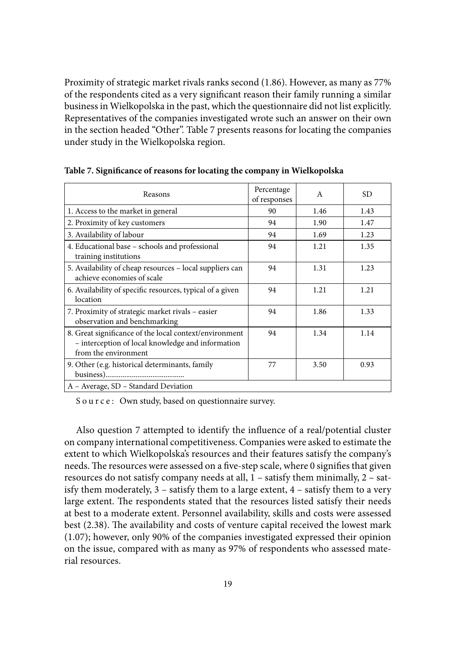Proximity of strategic market rivals ranks second (1.86). However, as many as 77% of the respondents cited as a very significant reason their family running a similar business in Wielkopolska in the past, which the questionnaire did not list explicitly. Representatives of the companies investigated wrote such an answer on their own in the section headed "Other". Table 7 presents reasons for locating the companies under study in the Wielkopolska region.

| Reasons                                                                                                                             | Percentage<br>of responses | A    | SD.  |
|-------------------------------------------------------------------------------------------------------------------------------------|----------------------------|------|------|
| 1. Access to the market in general                                                                                                  | 90                         | 1.46 | 1.43 |
| 2. Proximity of key customers                                                                                                       | 94                         | 1.90 | 1.47 |
| 3. Availability of labour                                                                                                           | 94                         | 1.69 | 1.23 |
| 4. Educational base – schools and professional<br>training institutions                                                             | 94                         | 1.21 | 1.35 |
| 5. Availability of cheap resources - local suppliers can<br>achieve economies of scale                                              | 94                         | 1.31 | 1.23 |
| 6. Availability of specific resources, typical of a given<br>location                                                               | 94                         | 1.21 | 1.21 |
| 7. Proximity of strategic market rivals - easier<br>observation and benchmarking                                                    | 94                         | 1.86 | 1.33 |
| 8. Great significance of the local context/environment<br>- interception of local knowledge and information<br>from the environment | 94                         | 1.34 | 1.14 |
| 9. Other (e.g. historical determinants, family                                                                                      | 77                         | 3.50 | 0.93 |
| A – Average, SD – Standard Deviation                                                                                                |                            |      |      |

Table 7. Significance of reasons for locating the company in Wielkopolska

S o u r c e : Own study, based on questionnaire survey.

Also question 7 attempted to identify the influence of a real/potential cluster on company international competitiveness. Companies were asked to estimate the extent to which Wielkopolska's resources and their features satisfy the company's needs. The resources were assessed on a five-step scale, where 0 signifies that given resources do not satisfy company needs at all, 1 – satisfy them minimally, 2 – satisfy them moderately, 3 – satisfy them to a large extent, 4 – satisfy them to a very large extent. The respondents stated that the resources listed satisfy their needs at best to a moderate extent. Personnel availability, skills and costs were assessed best (2.38). The availability and costs of venture capital received the lowest mark (1.07); however, only 90% of the companies investigated expressed their opinion on the issue, compared with as many as 97% of respondents who assessed material resources.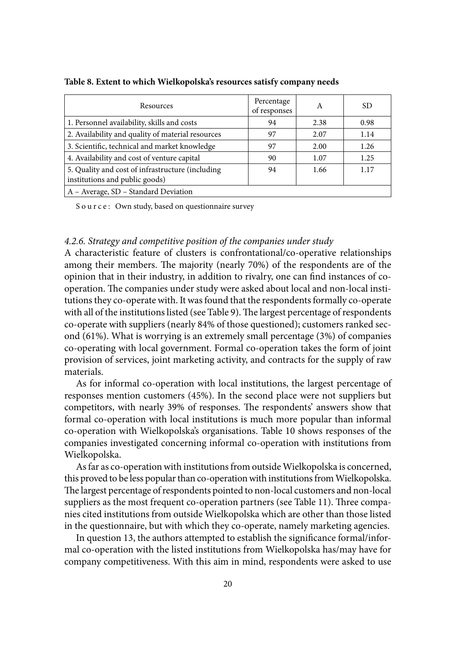| Resources                                                                           | Percentage<br>of responses | A    | SD   |
|-------------------------------------------------------------------------------------|----------------------------|------|------|
| 1. Personnel availability, skills and costs                                         | 94                         | 2.38 | 0.98 |
| 2. Availability and quality of material resources                                   | 97                         | 2.07 | 1.14 |
| 3. Scientific, technical and market knowledge                                       | 97                         | 2.00 | 1.26 |
| 4. Availability and cost of venture capital                                         | 90                         | 1.07 | 1.25 |
| 5. Quality and cost of infrastructure (including)<br>institutions and public goods) | 94                         | 1.66 | 1.17 |
| A - Average, SD - Standard Deviation                                                |                            |      |      |

**Table 8. Extent to which Wielkopolska's resources satisfy company needs**

#### *4.2.6. Strategy and competitive position of the companies under study*

A characteristic feature of clusters is confrontational/co-operative relationships among their members. The majority (nearly 70%) of the respondents are of the opinion that in their industry, in addition to rivalry, one can find instances of cooperation. The companies under study were asked about local and non-local institutions they co-operate with. It was found that the respondents formally co-operate with all of the institutions listed (see Table 9). The largest percentage of respondents co-operate with suppliers (nearly 84% of those questioned); customers ranked second (61%). What is worrying is an extremely small percentage (3%) of companies co-operating with local government. Formal co-operation takes the form of joint provision of services, joint marketing activity, and contracts for the supply of raw materials.

As for informal co-operation with local institutions, the largest percentage of responses mention customers (45%). In the second place were not suppliers but competitors, with nearly 39% of responses. The respondents' answers show that formal co-operation with local institutions is much more popular than informal co-operation with Wielkopolska's organisations. Table 10 shows responses of the companies investigated concerning informal co-operation with institutions from Wielkopolska.

As far as co-operation with institutions from outside Wielkopolska is concerned, this proved to be less popular than co-operation with institutions from Wielkopolska. The largest percentage of respondents pointed to non-local customers and non-local suppliers as the most frequent co-operation partners (see Table 11). Three companies cited institutions from outside Wielkopolska which are other than those listed in the questionnaire, but with which they co-operate, namely marketing agencies.

In question 13, the authors attempted to establish the significance formal/informal co-operation with the listed institutions from Wielkopolska has/may have for company competitiveness. With this aim in mind, respondents were asked to use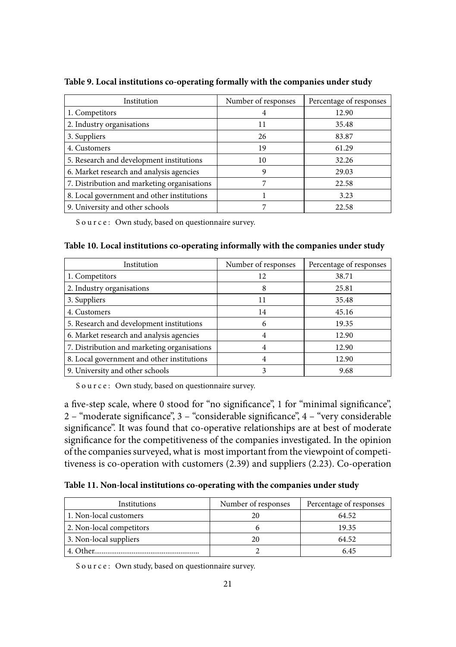| Institution                                 | Number of responses | Percentage of responses |
|---------------------------------------------|---------------------|-------------------------|
| 1. Competitors                              | 4                   | 12.90                   |
| 2. Industry organisations                   | 11                  | 35.48                   |
| 3. Suppliers                                | 26                  | 83.87                   |
| 4. Customers                                | 19                  | 61.29                   |
| 5. Research and development institutions    | 10                  | 32.26                   |
| 6. Market research and analysis agencies    | 9                   | 29.03                   |
| 7. Distribution and marketing organisations | 7                   | 22.58                   |
| 8. Local government and other institutions  |                     | 3.23                    |
| 9. University and other schools             |                     | 22.58                   |

**Table 9. Local institutions co-operating formally with the companies under study**

#### **Table 10. Local institutions co-operating informally with the companies under study**

| Institution                                 | Number of responses | Percentage of responses |
|---------------------------------------------|---------------------|-------------------------|
| 1. Competitors                              | 12                  | 38.71                   |
| 2. Industry organisations                   | 8                   | 25.81                   |
| 3. Suppliers                                | 11                  | 35.48                   |
| 4. Customers                                | 14                  | 45.16                   |
| 5. Research and development institutions    | 6                   | 19.35                   |
| 6. Market research and analysis agencies    |                     | 12.90                   |
| 7. Distribution and marketing organisations | 4                   | 12.90                   |
| 8. Local government and other institutions  | 4                   | 12.90                   |
| 9. University and other schools             | 3                   | 9.68                    |

S o u r c e : Own study, based on questionnaire survey.

a five-step scale, where 0 stood for "no significance", 1 for "minimal significance", 2 – "moderate significance", 3 – "considerable significance", 4 – "very considerable significance". It was found that co-operative relationships are at best of moderate significance for the competitiveness of the companies investigated. In the opinion of the companies surveyed, what is most important from the viewpoint of competitiveness is co-operation with customers (2.39) and suppliers (2.23). Co-operation

**Table 11. Non-local institutions co-operating with the companies under study**

| Institutions             | Number of responses | Percentage of responses |
|--------------------------|---------------------|-------------------------|
| 1. Non-local customers   | 20                  | 64.52                   |
| 2. Non-local competitors |                     | 19.35                   |
| 3. Non-local suppliers   | 20                  | 64.52                   |
| . Other                  |                     | 6.45                    |

S o u r c e : Own study, based on questionnaire survey.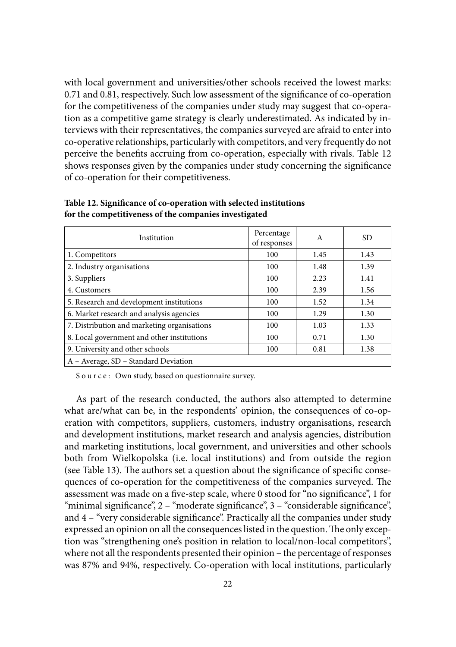with local government and universities/other schools received the lowest marks: 0.71 and 0.81, respectively. Such low assessment of the significance of co-operation for the competitiveness of the companies under study may suggest that co-operation as a competitive game strategy is clearly underestimated. As indicated by interviews with their representatives, the companies surveyed are afraid to enter into co-operative relationships, particularly with competitors, and very frequently do not perceive the benefits accruing from co-operation, especially with rivals. Table 12 shows responses given by the companies under study concerning the significance of co-operation for their competitiveness.

| Institution                                 | Percentage<br>of responses | A    | <b>SD</b> |
|---------------------------------------------|----------------------------|------|-----------|
| 1. Competitors                              | 100                        | 1.45 | 1.43      |
| 2. Industry organisations                   | 100                        | 1.48 | 1.39      |
| 3. Suppliers                                | 100                        | 2.23 | 1.41      |
| 4. Customers                                | 100                        | 2.39 | 1.56      |
| 5. Research and development institutions    | 100                        | 1.52 | 1.34      |
| 6. Market research and analysis agencies    | 100                        | 1.29 | 1.30      |
| 7. Distribution and marketing organisations | 100                        | 1.03 | 1.33      |
| 8. Local government and other institutions  | 100                        | 0.71 | 1.30      |
| 9. University and other schools             | 100                        | 0.81 | 1.38      |
| A – Average, SD – Standard Deviation        |                            |      |           |

Table 12. Significance of co-operation with selected institutions **for the competitiveness of the companies investigated**

S o u r c e : Own study, based on questionnaire survey.

As part of the research conducted, the authors also attempted to determine what are/what can be, in the respondents' opinion, the consequences of co-operation with competitors, suppliers, customers, industry organisations, research and development institutions, market research and analysis agencies, distribution and marketing institutions, local government, and universities and other schools both from Wielkopolska (i.e. local institutions) and from outside the region (see Table 13). The authors set a question about the significance of specific consequences of co-operation for the competitiveness of the companies surveyed. The assessment was made on a five-step scale, where 0 stood for "no significance", 1 for "minimal significance", 2 – "moderate significance", 3 – "considerable significance", and  $4$  – "very considerable significance". Practically all the companies under study expressed an opinion on all the consequences listed in the question. The only exception was "strengthening one's position in relation to local/non-local competitors", where not all the respondents presented their opinion – the percentage of responses was 87% and 94%, respectively. Co-operation with local institutions, particularly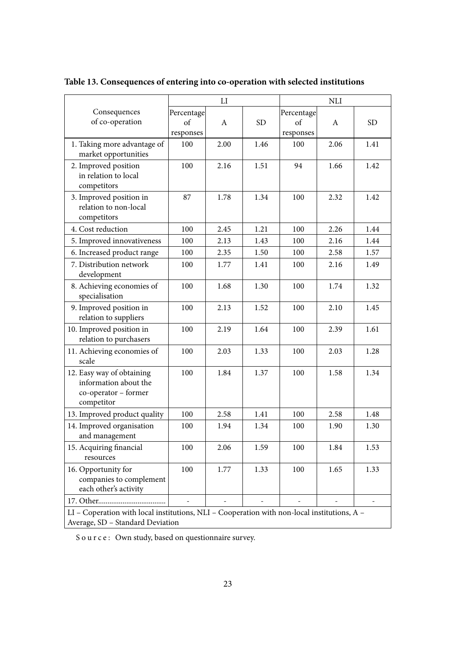|                                                                                             | ${\rm LI}$ |      | <b>NLI</b> |            |      |           |  |  |  |
|---------------------------------------------------------------------------------------------|------------|------|------------|------------|------|-----------|--|--|--|
| Consequences                                                                                | Percentage |      |            | Percentage |      |           |  |  |  |
| of co-operation                                                                             | of         | A    | <b>SD</b>  | of         | A    | <b>SD</b> |  |  |  |
|                                                                                             | responses  |      |            | responses  |      |           |  |  |  |
| 1. Taking more advantage of                                                                 | 100        | 2.00 | 1.46       | 100        | 2.06 | 1.41      |  |  |  |
| market opportunities                                                                        |            |      |            |            |      |           |  |  |  |
| 2. Improved position                                                                        | 100        | 2.16 | 1.51       | 94         | 1.66 | 1.42      |  |  |  |
| in relation to local<br>competitors                                                         |            |      |            |            |      |           |  |  |  |
|                                                                                             |            |      |            |            |      |           |  |  |  |
| 3. Improved position in<br>relation to non-local                                            | 87         | 1.78 | 1.34       | 100        | 2.32 | 1.42      |  |  |  |
| competitors                                                                                 |            |      |            |            |      |           |  |  |  |
| 4. Cost reduction                                                                           | 100        | 2.45 | 1.21       | 100        | 2.26 | 1.44      |  |  |  |
| 5. Improved innovativeness                                                                  | 100        | 2.13 | 1.43       | 100        | 2.16 | 1.44      |  |  |  |
| 6. Increased product range                                                                  | 100        | 2.35 | 1.50       | 100        | 2.58 | 1.57      |  |  |  |
| 7. Distribution network                                                                     | 100        | 1.77 | 1.41       | 100        | 2.16 | 1.49      |  |  |  |
| development                                                                                 |            |      |            |            |      |           |  |  |  |
| 8. Achieving economies of                                                                   | 100        | 1.68 | 1.30       | 100        | 1.74 | 1.32      |  |  |  |
| specialisation                                                                              |            |      |            |            |      |           |  |  |  |
| 9. Improved position in                                                                     | 100        | 2.13 | 1.52       | 100        | 2.10 | 1.45      |  |  |  |
| relation to suppliers                                                                       |            |      |            |            |      |           |  |  |  |
| 10. Improved position in                                                                    | 100        | 2.19 | 1.64       | 100        | 2.39 | 1.61      |  |  |  |
| relation to purchasers                                                                      |            |      |            |            |      |           |  |  |  |
| 11. Achieving economies of                                                                  | 100        | 2.03 | 1.33       | 100        | 2.03 | 1.28      |  |  |  |
| scale                                                                                       |            |      |            |            |      |           |  |  |  |
| 12. Easy way of obtaining                                                                   | 100        | 1.84 | 1.37       | 100        | 1.58 | 1.34      |  |  |  |
| information about the<br>co-operator - former                                               |            |      |            |            |      |           |  |  |  |
| competitor                                                                                  |            |      |            |            |      |           |  |  |  |
| 13. Improved product quality                                                                | 100        | 2.58 | 1.41       | 100        | 2.58 | 1.48      |  |  |  |
| 14. Improved organisation                                                                   | 100        | 1.94 | 1.34       | 100        | 1.90 | 1.30      |  |  |  |
| and management                                                                              |            |      |            |            |      |           |  |  |  |
| 15. Acquiring financial                                                                     | 100        | 2.06 | 1.59       | 100        | 1.84 | 1.53      |  |  |  |
| resources                                                                                   |            |      |            |            |      |           |  |  |  |
| 16. Opportunity for                                                                         | 100        | 1.77 | 1.33       | 100        | 1.65 | 1.33      |  |  |  |
| companies to complement                                                                     |            |      |            |            |      |           |  |  |  |
| each other's activity                                                                       |            |      |            |            |      |           |  |  |  |
|                                                                                             |            |      |            |            |      |           |  |  |  |
| LI - Coperation with local institutions, NLI - Cooperation with non-local institutions, A - |            |      |            |            |      |           |  |  |  |
| Average, SD - Standard Deviation                                                            |            |      |            |            |      |           |  |  |  |

**Table 13. Consequences of entering into co-operation with selected institutions**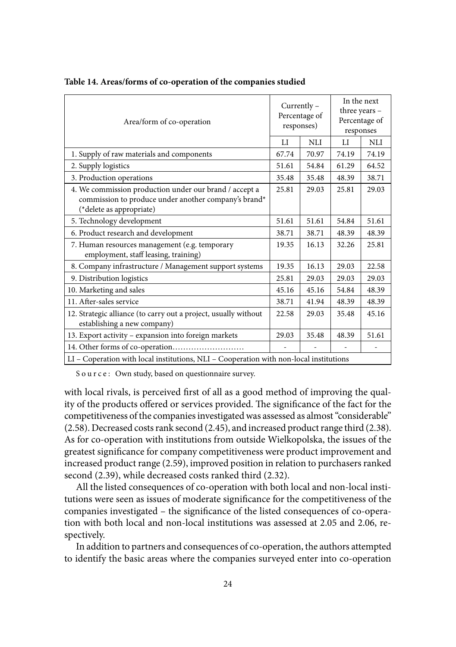| Area/form of co-operation                                                                                                                  |       | Currently -<br>Percentage of<br>responses) |       | In the next<br>three years -<br>Percentage of<br>responses |  |  |
|--------------------------------------------------------------------------------------------------------------------------------------------|-------|--------------------------------------------|-------|------------------------------------------------------------|--|--|
|                                                                                                                                            |       | <b>NLI</b>                                 | LI    | <b>NLI</b>                                                 |  |  |
| 1. Supply of raw materials and components                                                                                                  | 67.74 | 70.97                                      | 74.19 | 74.19                                                      |  |  |
| 2. Supply logistics                                                                                                                        | 51.61 | 54.84                                      | 61.29 | 64.52                                                      |  |  |
| 3. Production operations                                                                                                                   | 35.48 | 35.48                                      | 48.39 | 38.71                                                      |  |  |
| 4. We commission production under our brand / accept a<br>commission to produce under another company's brand*<br>(*delete as appropriate) | 25.81 | 29.03                                      | 25.81 | 29.03                                                      |  |  |
| 5. Technology development                                                                                                                  | 51.61 | 51.61                                      | 54.84 | 51.61                                                      |  |  |
| 6. Product research and development                                                                                                        | 38.71 | 38.71                                      | 48.39 | 48.39                                                      |  |  |
| 7. Human resources management (e.g. temporary<br>employment, staff leasing, training)                                                      | 19.35 | 16.13                                      | 32.26 | 25.81                                                      |  |  |
| 8. Company infrastructure / Management support systems                                                                                     | 19.35 | 16.13                                      | 29.03 | 22.58                                                      |  |  |
| 9. Distribution logistics                                                                                                                  | 25.81 | 29.03                                      | 29.03 | 29.03                                                      |  |  |
| 10. Marketing and sales                                                                                                                    | 45.16 | 45.16                                      | 54.84 | 48.39                                                      |  |  |
| 11. After-sales service                                                                                                                    | 38.71 | 41.94                                      | 48.39 | 48.39                                                      |  |  |
| 12. Strategic alliance (to carry out a project, usually without<br>establishing a new company)                                             | 22.58 | 29.03                                      | 35.48 | 45.16                                                      |  |  |
| 13. Export activity - expansion into foreign markets                                                                                       | 29.03 | 35.48                                      | 48.39 | 51.61                                                      |  |  |
|                                                                                                                                            |       |                                            |       |                                                            |  |  |
| LI - Coperation with local institutions, NLI - Cooperation with non-local institutions                                                     |       |                                            |       |                                                            |  |  |

**Table 14. Areas/forms of co-operation of the companies studied**

with local rivals, is perceived first of all as a good method of improving the quality of the products offered or services provided. The significance of the fact for the competitiveness of the companies investigated was assessed as almost "considerable" (2.58). Decreased costs rank second (2.45), and increased product range third (2.38). As for co-operation with institutions from outside Wielkopolska, the issues of the greatest significance for company competitiveness were product improvement and increased product range (2.59), improved position in relation to purchasers ranked second (2.39), while decreased costs ranked third (2.32).

All the listed consequences of co-operation with both local and non-local institutions were seen as issues of moderate significance for the competitiveness of the companies investigated – the significance of the listed consequences of co-operation with both local and non-local institutions was assessed at 2.05 and 2.06, respectively.

In addition to partners and consequences of co-operation, the authors attempted to identify the basic areas where the companies surveyed enter into co-operation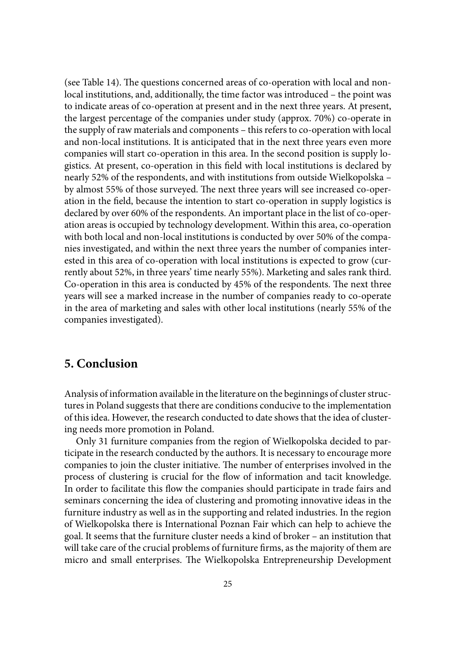(see Table 14). The questions concerned areas of co-operation with local and nonlocal institutions, and, additionally, the time factor was introduced – the point was to indicate areas of co-operation at present and in the next three years. At present, the largest percentage of the companies under study (approx. 70%) co-operate in the supply of raw materials and components – this refers to co-operation with local and non-local institutions. It is anticipated that in the next three years even more companies will start co-operation in this area. In the second position is supply logistics. At present, co-operation in this field with local institutions is declared by nearly 52% of the respondents, and with institutions from outside Wielkopolska – by almost 55% of those surveyed. The next three years will see increased co-operation in the field, because the intention to start co-operation in supply logistics is declared by over 60% of the respondents. An important place in the list of co-operation areas is occupied by technology development. Within this area, co-operation with both local and non-local institutions is conducted by over 50% of the companies investigated, and within the next three years the number of companies interested in this area of co-operation with local institutions is expected to grow (currently about 52%, in three years' time nearly 55%). Marketing and sales rank third. Co-operation in this area is conducted by 45% of the respondents. The next three years will see a marked increase in the number of companies ready to co-operate in the area of marketing and sales with other local institutions (nearly 55% of the companies investigated).

# **5. Conclusion**

Analysis of information available in the literature on the beginnings of cluster structures in Poland suggests that there are conditions conducive to the implementation of this idea. However, the research conducted to date shows that the idea of clustering needs more promotion in Poland.

Only 31 furniture companies from the region of Wielkopolska decided to participate in the research conducted by the authors. It is necessary to encourage more companies to join the cluster initiative. The number of enterprises involved in the process of clustering is crucial for the flow of information and tacit knowledge. In order to facilitate this flow the companies should participate in trade fairs and seminars concerning the idea of clustering and promoting innovative ideas in the furniture industry as well as in the supporting and related industries. In the region of Wielkopolska there is International Poznan Fair which can help to achieve the goal. It seems that the furniture cluster needs a kind of broker – an institution that will take care of the crucial problems of furniture firms, as the majority of them are micro and small enterprises. The Wielkopolska Entrepreneurship Development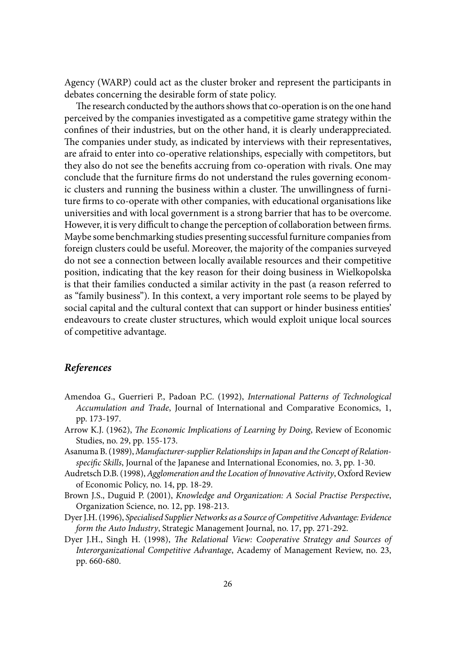Agency (WARP) could act as the cluster broker and represent the participants in debates concerning the desirable form of state policy.

The research conducted by the authors shows that co-operation is on the one hand perceived by the companies investigated as a competitive game strategy within the confines of their industries, but on the other hand, it is clearly underappreciated. The companies under study, as indicated by interviews with their representatives, are afraid to enter into co-operative relationships, especially with competitors, but they also do not see the benefits accruing from co-operation with rivals. One may conclude that the furniture firms do not understand the rules governing economic clusters and running the business within a cluster. The unwillingness of furniture firms to co-operate with other companies, with educational organisations like universities and with local government is a strong barrier that has to be overcome. However, it is very difficult to change the perception of collaboration between firms. Maybe some benchmarking studies presenting successful furniture companies from foreign clusters could be useful. Moreover, the majority of the companies surveyed do not see a connection between locally available resources and their competitive position, indicating that the key reason for their doing business in Wielkopolska is that their families conducted a similar activity in the past (a reason referred to as "family business"). In this context, a very important role seems to be played by social capital and the cultural context that can support or hinder business entities' endeavours to create cluster structures, which would exploit unique local sources of competitive advantage.

## *References*

- Amendoa G., Guerrieri P., Padoan P.C. (1992), *International Patterns of Technological Accumulation and Trade*, Journal of International and Comparative Economics, 1, pp. 173-197.
- Arrow K.J. (1962), *The Economic Implications of Learning by Doing*, Review of Economic Studies, no. 29, pp. 155-173.
- Asanuma B. (1989), *Manufacturer-supplier Relationships in Japan and the Concept of Relationspecific Skills*, Journal of the Japanese and International Economies, no. 3, pp. 1-30.
- Audretsch D.B. (1998), *Agglomeration and the Location of Innovative Activity*, Oxford Review of Economic Policy, no. 14, pp. 18-29.
- Brown J.S., Duguid P. (2001), *Knowledge and Organization: A Social Practise Perspective*, Organization Science, no. 12, pp. 198-213.
- Dyer J.H. (1996), *Specialised Supplier Networks as a Source of Competitive Advantage: Evidence form the Auto Industry*, Strategic Management Journal, no. 17, pp. 271-292.
- Dyer J.H., Singh H. (1998), *The Relational View: Cooperative Strategy and Sources of Interorganizational Competitive Advantage*, Academy of Management Review, no. 23, pp. 660-680.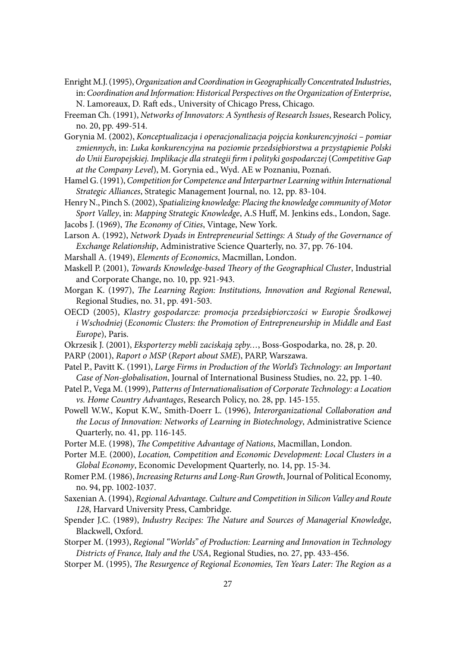Enright M.J. (1995), *Organization and Coordination in Geographically Concentrated Industries*, in: *Coordination and Information: Historical Perspectives on the Organization of Enterprise*, N. Lamoreaux, D. Raft eds., University of Chicago Press, Chicago.

- Freeman Ch. (1991), *Networks of Innovators: A Synthesis of Research Issues*, Research Policy, no. 20, pp. 499-514.
- Gorynia M. (2002), *Konceptualizacja i operacjonalizacja pojęcia konkurencyjności pomiar zmiennych*, in: *Luka konkurencyjna na poziomie przedsiębiorstwa a przystąpienie Polski do Unii Europejskiej. Implikacje dla strategii fi rm i polityki gospodarczej* (*Competitive Gap at the Company Level*), M. Gorynia ed., Wyd. AE w Poznaniu, Poznań.
- Hamel G. (1991), *Competition for Competence and Interpartner Learning within International Strategic Alliances*, Strategic Management Journal, no. 12, pp. 83-104.
- Henry N., Pinch S. (2002), *Spatializing knowledge: Placing the knowledge community of Motor Sport Valley*, in: *Mapping Strategic Knowledge*, A.S Huff , M. Jenkins eds., London, Sage. Jacobs J. (1969), *The Economy of Cities*, Vintage, New York.
- Larson A. (1992), *Network Dyads in Entrepreneurial Settings: A Study of the Governance of Exchange Relationship*, Administrative Science Quarterly, no. 37, pp. 76-104.
- Marshall A. (1949), *Elements of Economics*, Macmillan, London.
- Maskell P. (2001), *Towards Knowledge-based Theory of the Geographical Cluster*, Industrial and Corporate Change, no. 10, pp. 921-943.
- Morgan K. (1997), *The Learning Region: Institutions, Innovation and Regional Renewal*, Regional Studies, no. 31, pp. 491-503.
- OECD (2005), *Klastry gospodarcze: promocja przedsiębiorczości w Europie Środkowej i Wschodniej* (*Economic Clusters: the Promotion of Entrepreneurship in Middle and East Europe*), Paris.
- Okrzesik J. (2001), *Eksporterzy mebli zaciskają zęby…*, Boss-Gospodarka, no. 28, p. 20.
- PARP (2001), *Raport o MSP* (*Report about SME*), PARP, Warszawa.
- Patel P., Pavitt K. (1991), *Large Firms in Production of the World's Technology: an Important Case of Non-globalisation*, Journal of International Business Studies, no. 22, pp. 1-40.
- Patel P., Vega M. (1999), *Patterns of Internationalisation of Corporate Technology: a Location vs. Home Country Advantages*, Research Policy, no. 28, pp. 145-155.
- Powell W.W., Koput K.W., Smith-Doerr L. (1996), *Interorganizational Collaboration and the Locus of Innovation: Networks of Learning in Biotechnology*, Administrative Science Quarterly, no. 41, pp. 116-145.
- Porter M.E. (1998), *The Competitive Advantage of Nations*, Macmillan, London.
- Porter M.E. (2000), *Location, Competition and Economic Development: Local Clusters in a Global Economy*, Economic Development Quarterly, no. 14, pp. 15-34.
- Romer P.M. (1986), *Increasing Returns and Long-Run Growth*, Journal of Political Economy, no. 94, pp. 1002-1037.
- Saxenian A. (1994), *Regional Advantage. Culture and Competition in Silicon Valley and Route 128*, Harvard University Press, Cambridge.
- Spender J.C. (1989), *Industry Recipes: The Nature and Sources of Managerial Knowledge*, Blackwell, Oxford.
- Storper M. (1993), *Regional "Worlds" of Production: Learning and Innovation in Technology Districts of France, Italy and the USA*, Regional Studies, no. 27, pp. 433-456.
- Storper M. (1995), *The Resurgence of Regional Economies, Ten Years Later: The Region as a*